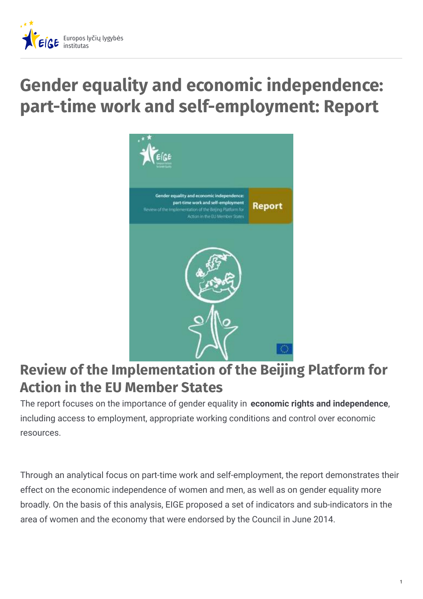

# **Gender equality and economic independence: part-time work and self-employment: Report**



# **Review of the Implementation of the Beijing Platform for Action in the EU Member States**

The report focuses on the importance of gender equality in **economic rights and independence**, including access to employment, appropriate working conditions and control over economic resources.

Through an analytical focus on part-time work and self-employment, the report demonstrates their effect on the economic independence of women and men, as well as on gender equality more broadly. On the basis of this analysis, EIGE proposed a set of indicators and sub-indicators in the area of women and the economy that were endorsed by the Council in June 2014.